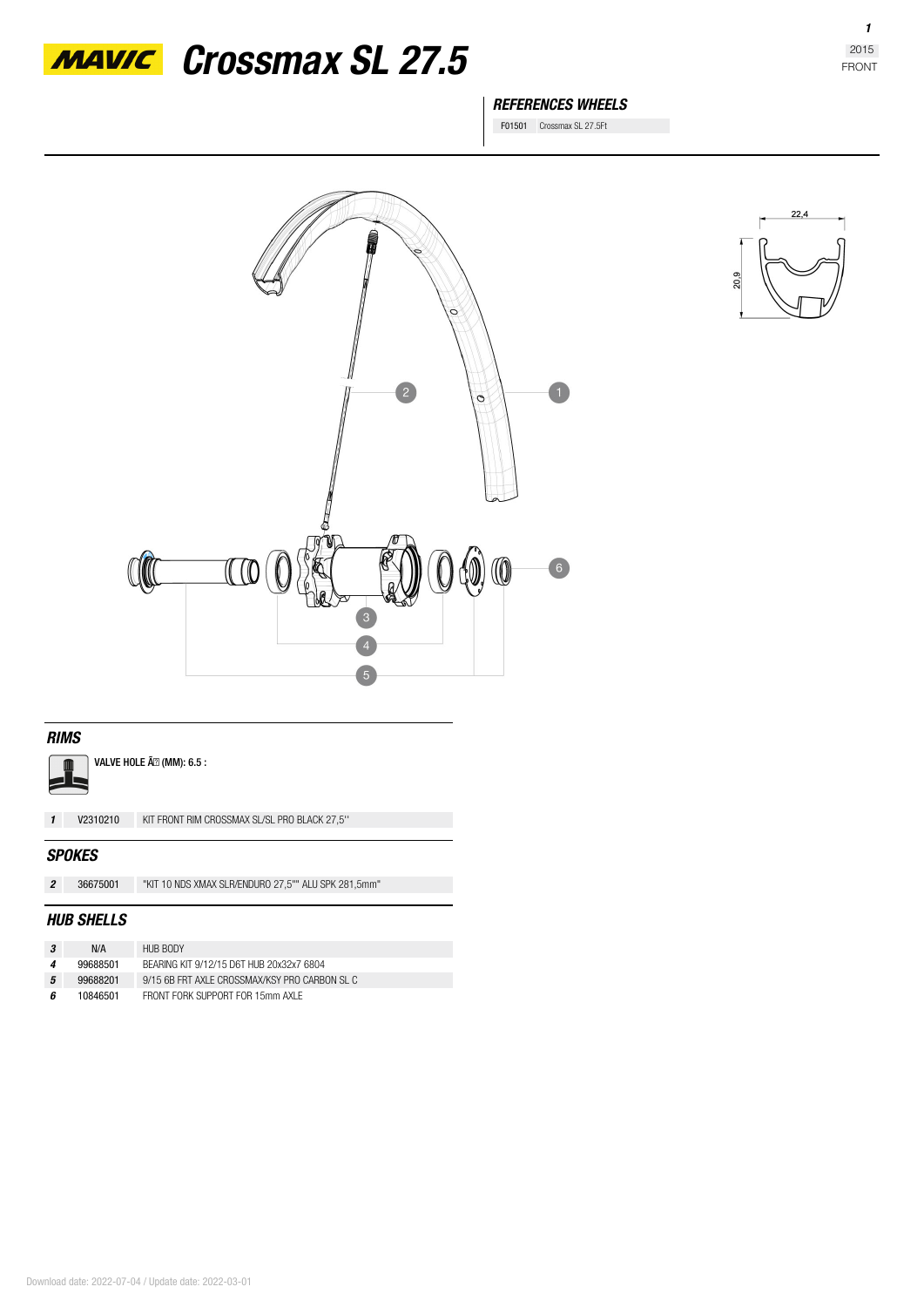

*MAVIC* Crossmax SL 27.5

## *REFERENCES WHEELS*

F01501 Crossmax SL 27.5Ft





### *RIMS*

VALVE HOLE Ã<sup>2</sup> (MM): 6.5 :

*1* **V2310210** KIT FRONT RIM CROSSMAX SL/SL PRO BLACK 27,5''

#### *SPOKES*

| 36675001 | "KIT 10 NDS XMAX SLR/ENDURO 27,5"" ALU SPK 281,5mm" |
|----------|-----------------------------------------------------|
|          |                                                     |

#### *HUB SHELLS*

| -3 | N/A      | HUB BODY                                      |
|----|----------|-----------------------------------------------|
|    | 99688501 | BEARING KIT 9/12/15 D6T HUB 20x32x7 6804      |
| 5  | 99688201 | 9/15 6B FRT AXI E CROSSMAX/KSY PRO CARBON SLC |
| ĥ  | 10846501 | FRONT FORK SUPPORT FOR 15mm AXI F             |